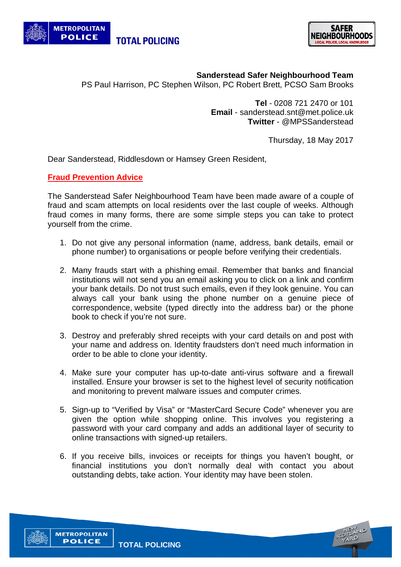



**Sanderstead Safer Neighbourhood Team**

PS Paul Harrison, PC Stephen Wilson, PC Robert Brett, PCSO Sam Brooks

**Tel** - 0208 721 2470 or 101 **Email** - sanderstead.snt@met.police.uk  **Twitter** - @MPSSanderstead

Thursday, 18 May 2017

Dear Sanderstead, Riddlesdown or Hamsey Green Resident,

## **Fraud Prevention Advice**

The Sanderstead Safer Neighbourhood Team have been made aware of a couple of fraud and scam attempts on local residents over the last couple of weeks. Although fraud comes in many forms, there are some simple steps you can take to protect yourself from the crime.

- 1. Do not give any personal information (name, address, bank details, email or phone number) to organisations or people before verifying their credentials.
- 2. Many frauds start with a phishing email. Remember that banks and financial institutions will not send you an email asking you to click on a link and confirm your bank details. Do not trust such emails, even if they look genuine. You can always call your bank using the phone number on a genuine piece of correspondence, website (typed directly into the address bar) or the phone book to check if you're not sure.
- 3. Destroy and preferably shred receipts with your card details on and post with your name and address on. Identity fraudsters don't need much information in order to be able to clone your identity.
- 4. Make sure your computer has up-to-date anti-virus software and a firewall installed. Ensure your browser is set to the highest level of security notification and monitoring to prevent malware issues and computer crimes.
- 5. Sign-up to "Verified by Visa" or "MasterCard Secure Code" whenever you are given the option while shopping online. This involves you registering a password with your card company and adds an additional layer of security to online transactions with signed-up retailers.
- 6. If you receive bills, invoices or receipts for things you haven't bought, or financial institutions you don't normally deal with contact you about outstanding debts, take action. Your identity may have been stolen.